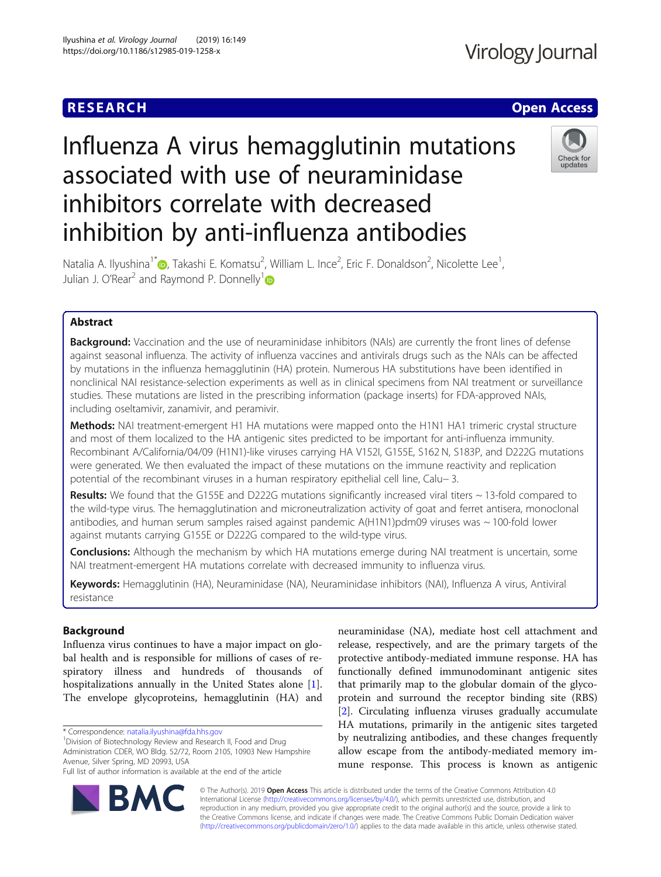## **RESEARCH CHE Open Access**

# Influenza A virus hemagglutinin mutations associated with use of neuraminidase inhibitors correlate with decreased inhibition by anti-influenza antibodies



Natalia A. Ilyushina<sup>1\*</sup> (**p**[,](http://orcid.org/0000-0001-8178-0472) Takashi E. Komatsu<sup>2</sup>, William L. Ince<sup>2</sup>, Eric F. Donaldson<sup>2</sup>, Nicolette Lee<sup>1</sup> , Julian J. O'Rear<sup>2</sup> and Raymond P. Donnelly<sup>1</sup><sup>®</sup>

### Abstract

**Background:** Vaccination and the use of neuraminidase inhibitors (NAIs) are currently the front lines of defense against seasonal influenza. The activity of influenza vaccines and antivirals drugs such as the NAIs can be affected by mutations in the influenza hemagglutinin (HA) protein. Numerous HA substitutions have been identified in nonclinical NAI resistance-selection experiments as well as in clinical specimens from NAI treatment or surveillance studies. These mutations are listed in the prescribing information (package inserts) for FDA-approved NAIs, including oseltamivir, zanamivir, and peramivir.

Methods: NAI treatment-emergent H1 HA mutations were mapped onto the H1N1 HA1 trimeric crystal structure and most of them localized to the HA antigenic sites predicted to be important for anti-influenza immunity. Recombinant A/California/04/09 (H1N1)-like viruses carrying HA V152I, G155E, S162 N, S183P, and D222G mutations were generated. We then evaluated the impact of these mutations on the immune reactivity and replication potential of the recombinant viruses in a human respiratory epithelial cell line, Calu− 3.

Results: We found that the G155E and D222G mutations significantly increased viral titers  $\sim$  13-fold compared to the wild-type virus. The hemagglutination and microneutralization activity of goat and ferret antisera, monoclonal antibodies, and human serum samples raised against pandemic  $A(H1N1)$ pdm09 viruses was  $\sim$  100-fold lower against mutants carrying G155E or D222G compared to the wild-type virus.

**Conclusions:** Although the mechanism by which HA mutations emerge during NAI treatment is uncertain, some NAI treatment-emergent HA mutations correlate with decreased immunity to influenza virus.

Keywords: Hemagglutinin (HA), Neuraminidase (NA), Neuraminidase inhibitors (NAI), Influenza A virus, Antiviral resistance

#### Background

Influenza virus continues to have a major impact on global health and is responsible for millions of cases of respiratory illness and hundreds of thousands of hospitalizations annually in the United States alone [\[1](#page-6-0)]. The envelope glycoproteins, hemagglutinin (HA) and

\* Correspondence: [natalia.ilyushina@fda.hhs.gov](mailto:natalia.ilyushina@fda.hhs.gov) <sup>1</sup>

<sup>1</sup> Division of Biotechnology Review and Research II, Food and Drug Administration CDER, WO Bldg. 52/72, Room 2105, 10903 New Hampshire Avenue, Silver Spring, MD 20993, USA

Full list of author information is available at the end of the article

neuraminidase (NA), mediate host cell attachment and release, respectively, and are the primary targets of the protective antibody-mediated immune response. HA has functionally defined immunodominant antigenic sites that primarily map to the globular domain of the glycoprotein and surround the receptor binding site (RBS) [[2\]](#page-7-0). Circulating influenza viruses gradually accumulate HA mutations, primarily in the antigenic sites targeted by neutralizing antibodies, and these changes frequently allow escape from the antibody-mediated memory immune response. This process is known as antigenic



© The Author(s). 2019 **Open Access** This article is distributed under the terms of the Creative Commons Attribution 4.0 International License [\(http://creativecommons.org/licenses/by/4.0/](http://creativecommons.org/licenses/by/4.0/)), which permits unrestricted use, distribution, and reproduction in any medium, provided you give appropriate credit to the original author(s) and the source, provide a link to the Creative Commons license, and indicate if changes were made. The Creative Commons Public Domain Dedication waiver [\(http://creativecommons.org/publicdomain/zero/1.0/](http://creativecommons.org/publicdomain/zero/1.0/)) applies to the data made available in this article, unless otherwise stated.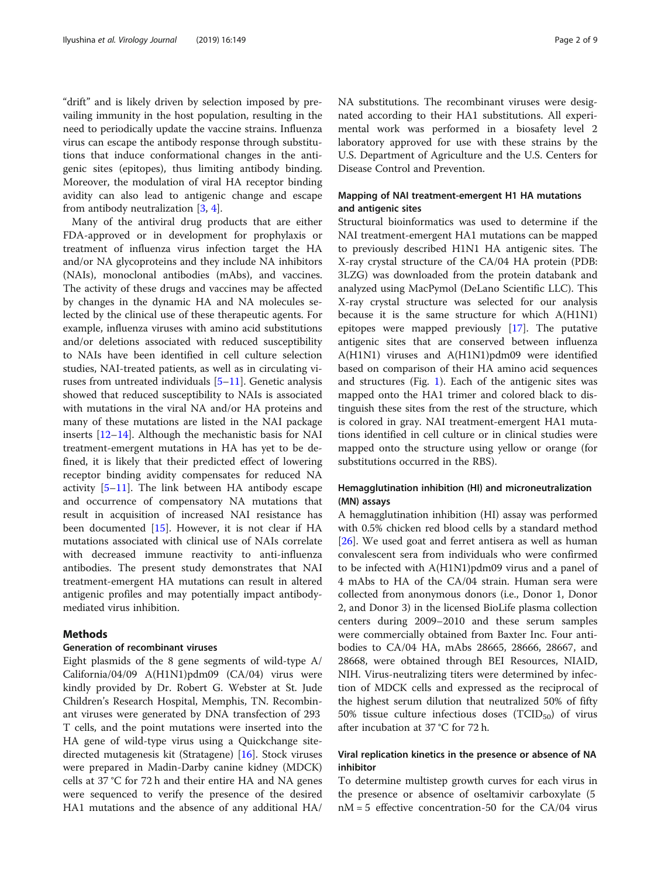"drift" and is likely driven by selection imposed by prevailing immunity in the host population, resulting in the need to periodically update the vaccine strains. Influenza virus can escape the antibody response through substitutions that induce conformational changes in the antigenic sites (epitopes), thus limiting antibody binding. Moreover, the modulation of viral HA receptor binding avidity can also lead to antigenic change and escape from antibody neutralization [\[3](#page-7-0), [4](#page-7-0)].

Many of the antiviral drug products that are either FDA-approved or in development for prophylaxis or treatment of influenza virus infection target the HA and/or NA glycoproteins and they include NA inhibitors (NAIs), monoclonal antibodies (mAbs), and vaccines. The activity of these drugs and vaccines may be affected by changes in the dynamic HA and NA molecules selected by the clinical use of these therapeutic agents. For example, influenza viruses with amino acid substitutions and/or deletions associated with reduced susceptibility to NAIs have been identified in cell culture selection studies, NAI-treated patients, as well as in circulating viruses from untreated individuals [[5](#page-7-0)–[11](#page-7-0)]. Genetic analysis showed that reduced susceptibility to NAIs is associated with mutations in the viral NA and/or HA proteins and many of these mutations are listed in the NAI package inserts [\[12](#page-7-0)–[14\]](#page-7-0). Although the mechanistic basis for NAI treatment-emergent mutations in HA has yet to be defined, it is likely that their predicted effect of lowering receptor binding avidity compensates for reduced NA activity [[5](#page-7-0)–[11](#page-7-0)]. The link between HA antibody escape and occurrence of compensatory NA mutations that result in acquisition of increased NAI resistance has been documented [\[15](#page-7-0)]. However, it is not clear if HA mutations associated with clinical use of NAIs correlate with decreased immune reactivity to anti-influenza antibodies. The present study demonstrates that NAI treatment-emergent HA mutations can result in altered antigenic profiles and may potentially impact antibodymediated virus inhibition.

#### Methods

#### Generation of recombinant viruses

Eight plasmids of the 8 gene segments of wild-type A/ California/04/09 A(H1N1)pdm09 (CA/04) virus were kindly provided by Dr. Robert G. Webster at St. Jude Children's Research Hospital, Memphis, TN. Recombinant viruses were generated by DNA transfection of 293 T cells, and the point mutations were inserted into the HA gene of wild-type virus using a Quickchange sitedirected mutagenesis kit (Stratagene) [\[16](#page-7-0)]. Stock viruses were prepared in Madin-Darby canine kidney (MDCK) cells at 37 °C for 72 h and their entire HA and NA genes were sequenced to verify the presence of the desired HA1 mutations and the absence of any additional HA/ NA substitutions. The recombinant viruses were designated according to their HA1 substitutions. All experimental work was performed in a biosafety level 2 laboratory approved for use with these strains by the U.S. Department of Agriculture and the U.S. Centers for Disease Control and Prevention.

#### Mapping of NAI treatment-emergent H1 HA mutations and antigenic sites

Structural bioinformatics was used to determine if the NAI treatment-emergent HA1 mutations can be mapped to previously described H1N1 HA antigenic sites. The X-ray crystal structure of the CA/04 HA protein (PDB: 3LZG) was downloaded from the protein databank and analyzed using MacPymol (DeLano Scientific LLC). This X-ray crystal structure was selected for our analysis because it is the same structure for which A(H1N1) epitopes were mapped previously [\[17](#page-7-0)]. The putative antigenic sites that are conserved between influenza A(H1N1) viruses and A(H1N1)pdm09 were identified based on comparison of their HA amino acid sequences and structures (Fig. [1](#page-2-0)). Each of the antigenic sites was mapped onto the HA1 trimer and colored black to distinguish these sites from the rest of the structure, which is colored in gray. NAI treatment-emergent HA1 mutations identified in cell culture or in clinical studies were mapped onto the structure using yellow or orange (for substitutions occurred in the RBS).

#### Hemagglutination inhibition (HI) and microneutralization (MN) assays

A hemagglutination inhibition (HI) assay was performed with 0.5% chicken red blood cells by a standard method [[26\]](#page-7-0). We used goat and ferret antisera as well as human convalescent sera from individuals who were confirmed to be infected with A(H1N1)pdm09 virus and a panel of 4 mAbs to HA of the CA/04 strain. Human sera were collected from anonymous donors (i.e., Donor 1, Donor 2, and Donor 3) in the licensed BioLife plasma collection centers during 2009–2010 and these serum samples were commercially obtained from Baxter Inc. Four antibodies to CA/04 HA, mAbs 28665, 28666, 28667, and 28668, were obtained through BEI Resources, NIAID, NIH. Virus-neutralizing titers were determined by infection of MDCK cells and expressed as the reciprocal of the highest serum dilution that neutralized 50% of fifty 50% tissue culture infectious doses  $(TCID_{50})$  of virus after incubation at 37 °C for 72 h.

#### Viral replication kinetics in the presence or absence of NA inhibitor

To determine multistep growth curves for each virus in the presence or absence of oseltamivir carboxylate (5  $nM = 5$  effective concentration-50 for the CA/04 virus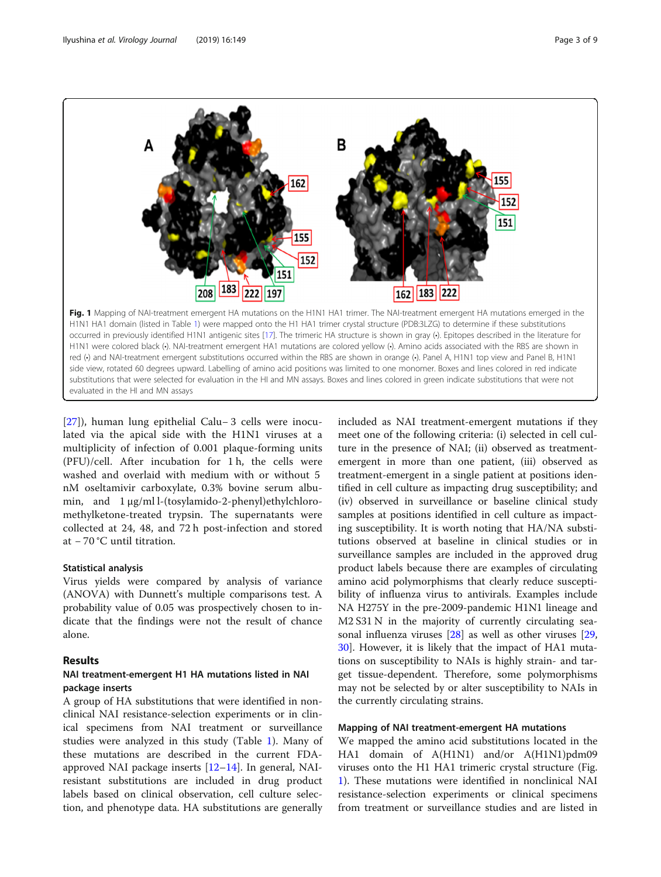<span id="page-2-0"></span>

[[27\]](#page-7-0)), human lung epithelial Calu− 3 cells were inoculated via the apical side with the H1N1 viruses at a multiplicity of infection of 0.001 plaque-forming units (PFU)/cell. After incubation for 1 h, the cells were washed and overlaid with medium with or without 5 nM oseltamivir carboxylate, 0.3% bovine serum albumin, and 1 μg/ml l-(tosylamido-2-phenyl)ethylchloromethylketone-treated trypsin. The supernatants were collected at 24, 48, and 72 h post-infection and stored at − 70 °C until titration.

#### Statistical analysis

Virus yields were compared by analysis of variance (ANOVA) with Dunnett's multiple comparisons test. A probability value of 0.05 was prospectively chosen to indicate that the findings were not the result of chance alone.

#### Results

#### NAI treatment-emergent H1 HA mutations listed in NAI package inserts

A group of HA substitutions that were identified in nonclinical NAI resistance-selection experiments or in clinical specimens from NAI treatment or surveillance studies were analyzed in this study (Table [1](#page-3-0)). Many of these mutations are described in the current FDAapproved NAI package inserts [[12](#page-7-0)–[14\]](#page-7-0). In general, NAIresistant substitutions are included in drug product labels based on clinical observation, cell culture selection, and phenotype data. HA substitutions are generally

included as NAI treatment-emergent mutations if they meet one of the following criteria: (i) selected in cell culture in the presence of NAI; (ii) observed as treatmentemergent in more than one patient, (iii) observed as treatment-emergent in a single patient at positions identified in cell culture as impacting drug susceptibility; and (iv) observed in surveillance or baseline clinical study samples at positions identified in cell culture as impacting susceptibility. It is worth noting that HA/NA substitutions observed at baseline in clinical studies or in surveillance samples are included in the approved drug product labels because there are examples of circulating amino acid polymorphisms that clearly reduce susceptibility of influenza virus to antivirals. Examples include NA H275Y in the pre-2009-pandemic H1N1 lineage and M2 S31 N in the majority of currently circulating seasonal influenza viruses [[28](#page-7-0)] as well as other viruses [[29](#page-7-0), [30\]](#page-7-0). However, it is likely that the impact of HA1 mutations on susceptibility to NAIs is highly strain- and target tissue-dependent. Therefore, some polymorphisms may not be selected by or alter susceptibility to NAIs in the currently circulating strains.

#### Mapping of NAI treatment-emergent HA mutations

We mapped the amino acid substitutions located in the HA1 domain of A(H1N1) and/or A(H1N1)pdm09 viruses onto the H1 HA1 trimeric crystal structure (Fig. 1). These mutations were identified in nonclinical NAI resistance-selection experiments or clinical specimens from treatment or surveillance studies and are listed in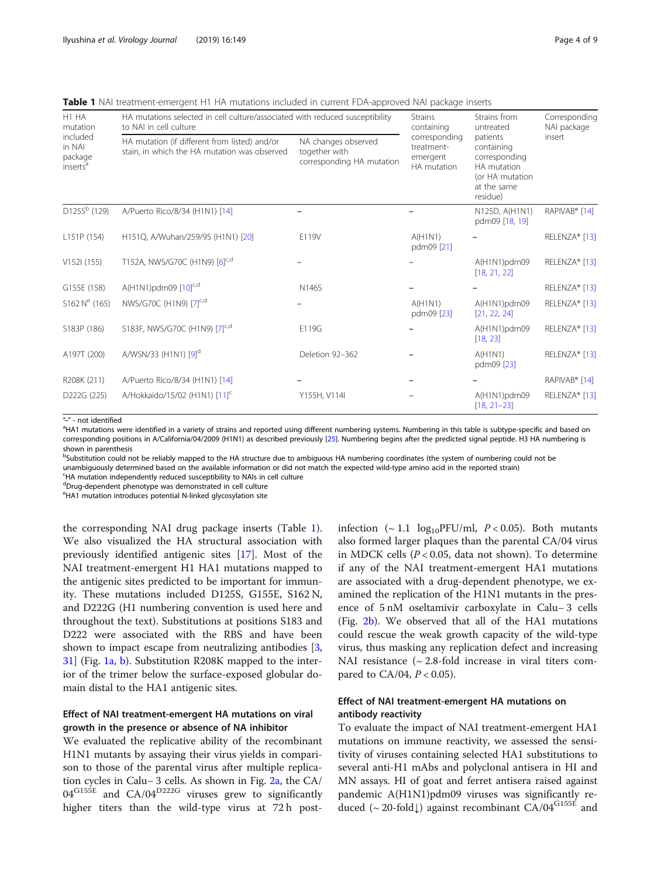<span id="page-3-0"></span>Table 1 NAI treatment-emergent H1 HA mutations included in current FDA-approved NAI package inserts

| H <sub>1</sub> HA<br>mutation<br>included<br>in NAI<br>package<br>inserts <sup>a</sup> | HA mutations selected in cell culture/associated with reduced susceptibility<br>to NAI in cell culture | <b>Strains</b><br>containing                                      | Strains from<br>untreated                              | Corresponding<br>NAI package                                                                         |                           |
|----------------------------------------------------------------------------------------|--------------------------------------------------------------------------------------------------------|-------------------------------------------------------------------|--------------------------------------------------------|------------------------------------------------------------------------------------------------------|---------------------------|
|                                                                                        | HA mutation (if different from listed) and/or<br>stain, in which the HA mutation was observed          | NA changes observed<br>together with<br>corresponding HA mutation | corresponding<br>treatment-<br>emergent<br>HA mutation | patients<br>containing<br>corresponding<br>HA mutation<br>(or HA mutation<br>at the same<br>residue) | insert                    |
| $D125Sb$ (129)                                                                         | A/Puerto Rico/8/34 (H1N1) [14]                                                                         |                                                                   |                                                        | N125D, A(H1N1)<br>pdm09 [18, 19]                                                                     | RAPIVAB <sup>®</sup> [14] |
| L151P (154)                                                                            | H151Q, A/Wuhan/259/95 (H1N1) [20]                                                                      | E119V                                                             | A(H1N1)<br>pdm09 [21]                                  |                                                                                                      | RELENZA® [13]             |
| V152I(155)                                                                             | T152A, NWS/G70C (H1N9) [6]c,d                                                                          |                                                                   |                                                        | A(H1N1)pdm09<br>[18, 21, 22]                                                                         | RELENZA® [13]             |
| G155E (158)                                                                            | A(H1N1)pdm09 [10] <sup>c,d</sup>                                                                       | N146S                                                             |                                                        |                                                                                                      | RELENZA® [13]             |
| $S162 Ne$ (165)                                                                        | NWS/G70C (H1N9) [7] <sup>c,d</sup>                                                                     |                                                                   | A(H1N1)<br>pdm09 [23]                                  | A(H1N1)pdm09<br>[21, 22, 24]                                                                         | RELENZA® [13]             |
| S183P (186)                                                                            | S183F, NWS/G70C (H1N9) [7] <sup>c,d</sup>                                                              | E119G                                                             |                                                        | A(H1N1)pdm09<br>[18, 23]                                                                             | RELENZA® [13]             |
| A197T (200)                                                                            | A/WSN/33 (H1N1) [9] <sup>d</sup>                                                                       | Deletion 92-362                                                   |                                                        | A(H1N1)<br>pdm09 [23]                                                                                | RELENZA® [13]             |
| R <sub>208</sub> K (211)                                                               | A/Puerto Rico/8/34 (H1N1) [14]                                                                         |                                                                   |                                                        |                                                                                                      | RAPIVAB <sup>®</sup> [14] |
| D222G (225)                                                                            | A/Hokkaido/15/02 (H1N1) [11] <sup>c</sup>                                                              | Y155H, V114I                                                      |                                                        | A(H1N1)pdm09<br>$[18, 21 - 23]$                                                                      | RELENZA® [13]             |

"-" - not identified

<sup>a</sup>HA1 mutations were identified in a variety of strains and reported using different numbering systems. Numbering in this table is subtype-specific and based on corresponding positions in A/California/04/2009 (H1N1) as described previously [\[25](#page-7-0)]. Numbering begins after the predicted signal peptide. H3 HA numbering is shown in parenthesis

**bSubstitution could not be reliably mapped to the HA structure due to ambiguous HA numbering coordinates (the system of numbering could not be** unambiguously determined based on the available information or did not match the expected wild-type amino acid in the reported strain)

<sup>c</sup>HA mutation independently reduced susceptibility to NAIs in cell culture

<sup>d</sup>Drug-dependent phenotype was demonstrated in cell culture

e HA1 mutation introduces potential N-linked glycosylation site

the corresponding NAI drug package inserts (Table 1). We also visualized the HA structural association with previously identified antigenic sites [[17](#page-7-0)]. Most of the NAI treatment-emergent H1 HA1 mutations mapped to the antigenic sites predicted to be important for immunity. These mutations included D125S, G155E, S162 N, and D222G (H1 numbering convention is used here and throughout the text). Substitutions at positions S183 and D222 were associated with the RBS and have been shown to impact escape from neutralizing antibodies [\[3](#page-7-0), [31\]](#page-7-0) (Fig. [1a, b](#page-2-0)). Substitution R208K mapped to the interior of the trimer below the surface-exposed globular domain distal to the HA1 antigenic sites.

#### Effect of NAI treatment-emergent HA mutations on viral growth in the presence or absence of NA inhibitor

We evaluated the replicative ability of the recombinant H1N1 mutants by assaying their virus yields in comparison to those of the parental virus after multiple replication cycles in Calu− 3 cells. As shown in Fig. [2a](#page-4-0), the CA/  $04^{\text{G155E}}$  and  $CA/04^{\text{D222G}}$  viruses grew to significantly higher titers than the wild-type virus at 72 h postinfection ( $\sim 1.1 \log_{10}$ PFU/ml,  $P < 0.05$ ). Both mutants also formed larger plaques than the parental CA/04 virus in MDCK cells ( $P < 0.05$ , data not shown). To determine if any of the NAI treatment-emergent HA1 mutations are associated with a drug-dependent phenotype, we examined the replication of the H1N1 mutants in the presence of 5 nM oseltamivir carboxylate in Calu− 3 cells (Fig. [2b](#page-4-0)). We observed that all of the HA1 mutations could rescue the weak growth capacity of the wild-type virus, thus masking any replication defect and increasing NAI resistance  $({\sim} 2.8{\sim}$  fold increase in viral titers compared to  $CA/04$ ,  $P < 0.05$ ).

#### Effect of NAI treatment-emergent HA mutations on antibody reactivity

To evaluate the impact of NAI treatment-emergent HA1 mutations on immune reactivity, we assessed the sensitivity of viruses containing selected HA1 substitutions to several anti-H1 mAbs and polyclonal antisera in HI and MN assays. HI of goat and ferret antisera raised against pandemic A(H1N1)pdm09 viruses was significantly reduced (~20-fold $\downarrow$ ) against recombinant CA/04<sup>G155E</sup> and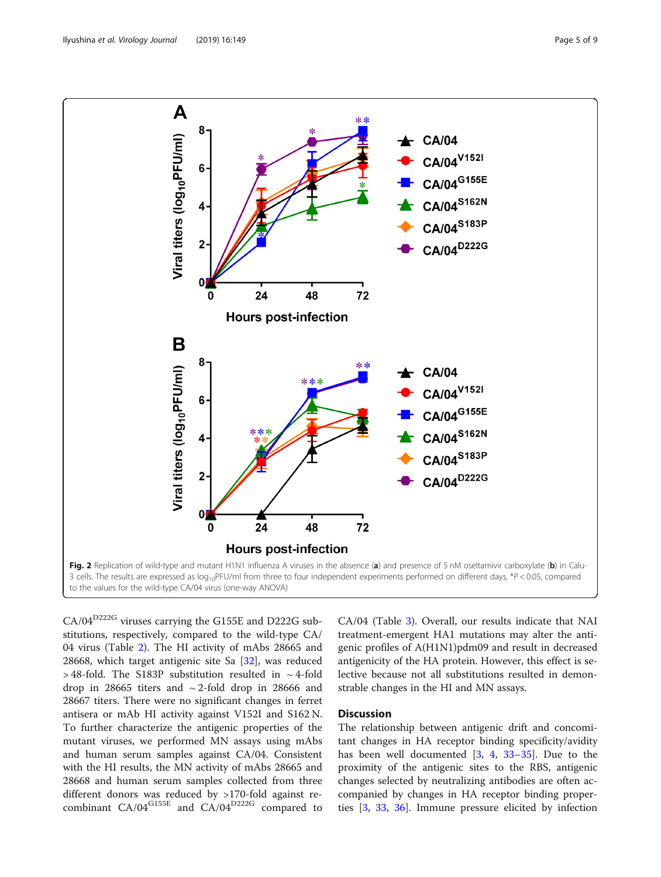<span id="page-4-0"></span>

CA/04<sup>D222G</sup> viruses carrying the G155E and D222G substitutions, respectively, compared to the wild-type CA/ 04 virus (Table [2](#page-5-0)). The HI activity of mAbs 28665 and 28668, which target antigenic site Sa [[32](#page-7-0)], was reduced  $>$  48-fold. The S183P substitution resulted in  $\sim$  4-fold drop in 28665 titers and  $\sim$  2-fold drop in 28666 and 28667 titers. There were no significant changes in ferret antisera or mAb HI activity against V152I and S162 N. To further characterize the antigenic properties of the mutant viruses, we performed MN assays using mAbs and human serum samples against CA/04. Consistent with the HI results, the MN activity of mAbs 28665 and 28668 and human serum samples collected from three different donors was reduced by >170-fold against recombinant CA/04<sup>G155E</sup> and CA/04<sup>D222G</sup> compared to

CA/04 (Table [3\)](#page-5-0). Overall, our results indicate that NAI treatment-emergent HA1 mutations may alter the antigenic profiles of A(H1N1)pdm09 and result in decreased antigenicity of the HA protein. However, this effect is selective because not all substitutions resulted in demonstrable changes in the HI and MN assays.

#### **Discussion**

The relationship between antigenic drift and concomitant changes in HA receptor binding specificity/avidity has been well documented [\[3,](#page-7-0) [4](#page-7-0), [33](#page-7-0)–[35](#page-7-0)]. Due to the proximity of the antigenic sites to the RBS, antigenic changes selected by neutralizing antibodies are often accompanied by changes in HA receptor binding properties [[3,](#page-7-0) [33](#page-7-0), [36](#page-7-0)]. Immune pressure elicited by infection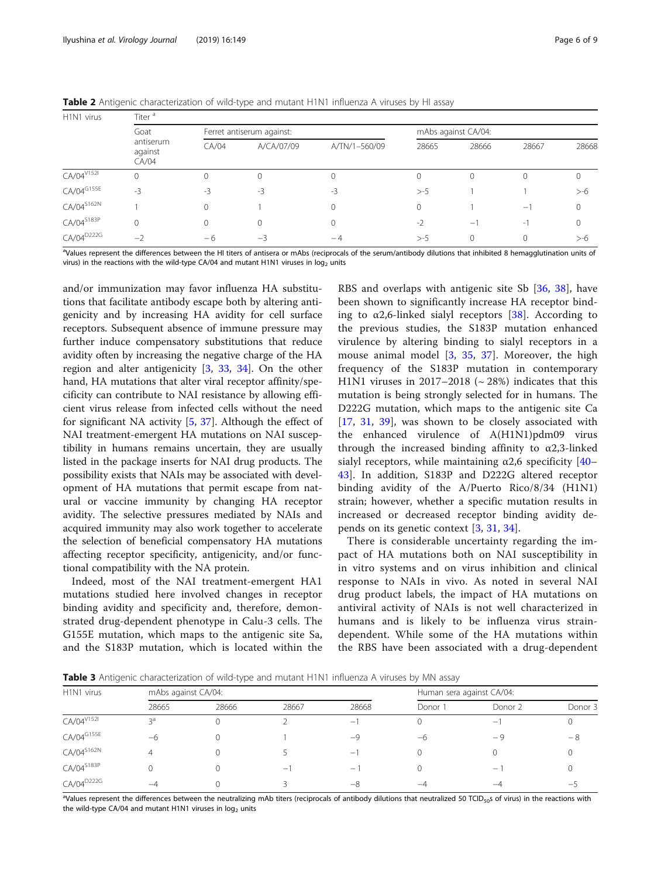| H1N1 virus             | Titer <sup>a</sup>            |              |                           |               |          |                          |                          |        |  |
|------------------------|-------------------------------|--------------|---------------------------|---------------|----------|--------------------------|--------------------------|--------|--|
|                        | Goat                          |              | Ferret antiserum against: |               |          | mAbs against CA/04:      |                          |        |  |
|                        | antiserum<br>against<br>CA/04 | CA/04        | A/CA/07/09                | A/TN/1-560/09 | 28665    | 28666                    | 28667                    | 28668  |  |
| CA/04 V1521            | $\Omega$                      | $\mathbf{0}$ | $\Omega$                  |               | $\Omega$ | $\Omega$                 | 0                        | 0      |  |
| CA/04G155E             | $-3$                          | -3           | $-3$                      | $-3$          | $> -5$   |                          |                          | >-6    |  |
| $CA/O4^{S162N}$        |                               | 0            |                           |               | $\Omega$ |                          | $-1$                     | 0      |  |
| CA/04 <sup>S183P</sup> | $\mathbf 0$                   | $\mathbf{0}$ | $\Omega$                  | N.            | $-2$     | $\overline{\phantom{0}}$ | $\overline{\phantom{a}}$ | 0      |  |
| CA/04 <sup>D222G</sup> | $-2$                          | -6           | $-3$                      | $-4$          | $> -5$   | $\Omega$                 |                          | $> -6$ |  |

<span id="page-5-0"></span>Table 2 Antigenic characterization of wild-type and mutant H1N1 influenza A viruses by HI assay

<sup>a</sup>Values represent the differences between the HI titers of antisera or mAbs (reciprocals of the serum/antibody dilutions that inhibited 8 hemagglutination units of virus) in the reactions with the wild-type CA/04 and mutant H1N1 viruses in  $log<sub>2</sub>$  units

and/or immunization may favor influenza HA substitutions that facilitate antibody escape both by altering antigenicity and by increasing HA avidity for cell surface receptors. Subsequent absence of immune pressure may further induce compensatory substitutions that reduce avidity often by increasing the negative charge of the HA region and alter antigenicity [\[3,](#page-7-0) [33,](#page-7-0) [34](#page-7-0)]. On the other hand, HA mutations that alter viral receptor affinity/specificity can contribute to NAI resistance by allowing efficient virus release from infected cells without the need for significant NA activity [\[5](#page-7-0), [37](#page-7-0)]. Although the effect of NAI treatment-emergent HA mutations on NAI susceptibility in humans remains uncertain, they are usually listed in the package inserts for NAI drug products. The possibility exists that NAIs may be associated with development of HA mutations that permit escape from natural or vaccine immunity by changing HA receptor avidity. The selective pressures mediated by NAIs and acquired immunity may also work together to accelerate the selection of beneficial compensatory HA mutations affecting receptor specificity, antigenicity, and/or functional compatibility with the NA protein.

Indeed, most of the NAI treatment-emergent HA1 mutations studied here involved changes in receptor binding avidity and specificity and, therefore, demonstrated drug-dependent phenotype in Calu-3 cells. The G155E mutation, which maps to the antigenic site Sa, and the S183P mutation, which is located within the

RBS and overlaps with antigenic site Sb [[36,](#page-7-0) [38](#page-7-0)], have been shown to significantly increase HA receptor binding to  $\alpha$ 2,6-linked sialyl receptors [\[38](#page-7-0)]. According to the previous studies, the S183P mutation enhanced virulence by altering binding to sialyl receptors in a mouse animal model [\[3](#page-7-0), [35,](#page-7-0) [37\]](#page-7-0). Moreover, the high frequency of the S183P mutation in contemporary H1N1 viruses in 2017–2018 ( $\sim$  28%) indicates that this mutation is being strongly selected for in humans. The D222G mutation, which maps to the antigenic site Ca [[17,](#page-7-0) [31,](#page-7-0) [39\]](#page-7-0), was shown to be closely associated with the enhanced virulence of A(H1N1)pdm09 virus through the increased binding affinity to  $\alpha$ 2,3-linked sialyl receptors, while maintaining  $\alpha$ 2,6 specificity [[40](#page-7-0)– [43\]](#page-7-0). In addition, S183P and D222G altered receptor binding avidity of the A/Puerto Rico/8/34 (H1N1) strain; however, whether a specific mutation results in increased or decreased receptor binding avidity depends on its genetic context [\[3](#page-7-0), [31,](#page-7-0) [34\]](#page-7-0).

There is considerable uncertainty regarding the impact of HA mutations both on NAI susceptibility in in vitro systems and on virus inhibition and clinical response to NAIs in vivo. As noted in several NAI drug product labels, the impact of HA mutations on antiviral activity of NAIs is not well characterized in humans and is likely to be influenza virus straindependent. While some of the HA mutations within the RBS have been associated with a drug-dependent

Table 3 Antigenic characterization of wild-type and mutant H1N1 influenza A viruses by MN assay

| H <sub>1</sub> N <sub>1</sub> virus | mAbs against CA/04: |       |                          | Human sera against CA/04: |           |                          |         |  |
|-------------------------------------|---------------------|-------|--------------------------|---------------------------|-----------|--------------------------|---------|--|
|                                     | 28665               | 28666 | 28667                    | 28668                     | Donor 1   | Donor 2                  | Donor 3 |  |
| CA/04 <sup>V152I</sup>              | çа                  |       |                          | $\overline{\phantom{m}}$  |           | $\overline{\phantom{0}}$ |         |  |
| CA/04G155E                          | -6                  |       |                          | $-9$                      | -6        | - 9                      | -8      |  |
| $CA/04^{S162N}$                     |                     |       |                          | $\qquad \qquad -$         | υ         |                          |         |  |
| CA/04 <sup>S183P</sup>              |                     |       | $\overline{\phantom{0}}$ | $\overline{\phantom{m}}$  |           | $\qquad \qquad -$        |         |  |
| CA/04 <sup>D222G</sup>              | $-\Delta$           |       |                          | -8                        | $-\Delta$ | –∠                       | —       |  |

<sup>a</sup>Values represent the differences between the neutralizing mAb titers (reciprocals of antibody dilutions that neutralized 50 TCID<sub>50</sub>s of virus) in the reactions with the wild-type CA/04 and mutant H1N1 viruses in  $log<sub>2</sub>$  units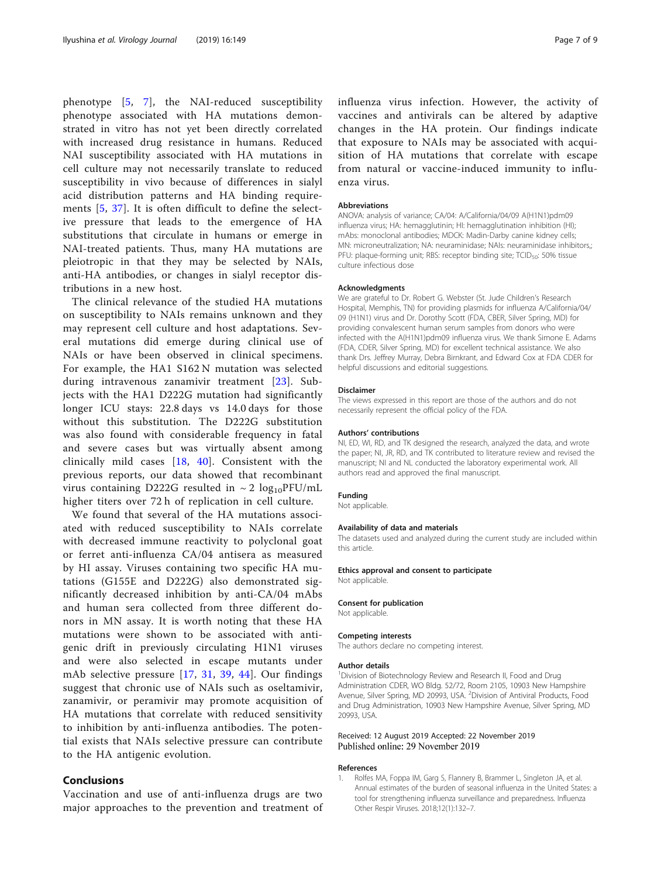<span id="page-6-0"></span>phenotype [[5,](#page-7-0) [7](#page-7-0)], the NAI-reduced susceptibility phenotype associated with HA mutations demonstrated in vitro has not yet been directly correlated with increased drug resistance in humans. Reduced NAI susceptibility associated with HA mutations in cell culture may not necessarily translate to reduced susceptibility in vivo because of differences in sialyl acid distribution patterns and HA binding requirements [[5,](#page-7-0) [37](#page-7-0)]. It is often difficult to define the selective pressure that leads to the emergence of HA substitutions that circulate in humans or emerge in NAI-treated patients. Thus, many HA mutations are pleiotropic in that they may be selected by NAIs, anti-HA antibodies, or changes in sialyl receptor distributions in a new host.

The clinical relevance of the studied HA mutations on susceptibility to NAIs remains unknown and they may represent cell culture and host adaptations. Several mutations did emerge during clinical use of NAIs or have been observed in clinical specimens. For example, the HA1 S162 N mutation was selected during intravenous zanamivir treatment [\[23\]](#page-7-0). Subjects with the HA1 D222G mutation had significantly longer ICU stays: 22.8 days vs 14.0 days for those without this substitution. The D222G substitution was also found with considerable frequency in fatal and severe cases but was virtually absent among clinically mild cases [[18,](#page-7-0) [40\]](#page-7-0). Consistent with the previous reports, our data showed that recombinant virus containing D222G resulted in  $\sim 2 \log_{10}$ PFU/mL higher titers over 72 h of replication in cell culture.

We found that several of the HA mutations associated with reduced susceptibility to NAIs correlate with decreased immune reactivity to polyclonal goat or ferret anti-influenza CA/04 antisera as measured by HI assay. Viruses containing two specific HA mutations (G155E and D222G) also demonstrated significantly decreased inhibition by anti-CA/04 mAbs and human sera collected from three different donors in MN assay. It is worth noting that these HA mutations were shown to be associated with antigenic drift in previously circulating H1N1 viruses and were also selected in escape mutants under mAb selective pressure [[17](#page-7-0), [31,](#page-7-0) [39,](#page-7-0) [44](#page-8-0)]. Our findings suggest that chronic use of NAIs such as oseltamivir, zanamivir, or peramivir may promote acquisition of HA mutations that correlate with reduced sensitivity to inhibition by anti-influenza antibodies. The potential exists that NAIs selective pressure can contribute to the HA antigenic evolution.

#### Conclusions

Vaccination and use of anti-influenza drugs are two major approaches to the prevention and treatment of

influenza virus infection. However, the activity of vaccines and antivirals can be altered by adaptive changes in the HA protein. Our findings indicate that exposure to NAIs may be associated with acquisition of HA mutations that correlate with escape from natural or vaccine-induced immunity to influenza virus.

#### Abbreviations

ANOVA: analysis of variance; CA/04: A/California/04/09 A(H1N1)pdm09 influenza virus; HA: hemagglutinin; HI: hemagglutination inhibition (HI); mAbs: monoclonal antibodies; MDCK: Madin-Darby canine kidney cells; MN: microneutralization; NA: neuraminidase; NAIs: neuraminidase inhibitors,; PFU: plaque-forming unit; RBS: receptor binding site; TCID<sub>50</sub>: 50% tissue culture infectious dose

#### Acknowledgments

We are grateful to Dr. Robert G. Webster (St. Jude Children's Research Hospital, Memphis, TN) for providing plasmids for influenza A/California/04/ 09 (H1N1) virus and Dr. Dorothy Scott (FDA, CBER, Silver Spring, MD) for providing convalescent human serum samples from donors who were infected with the A(H1N1)pdm09 influenza virus. We thank Simone E. Adams (FDA, CDER, Silver Spring, MD) for excellent technical assistance. We also thank Drs. Jeffrey Murray, Debra Birnkrant, and Edward Cox at FDA CDER for helpful discussions and editorial suggestions.

#### Disclaimer

The views expressed in this report are those of the authors and do not necessarily represent the official policy of the FDA.

#### Authors' contributions

NI, ED, WI, RD, and TK designed the research, analyzed the data, and wrote the paper; NI, JR, RD, and TK contributed to literature review and revised the manuscript: NL and NL conducted the laboratory experimental work. All authors read and approved the final manuscript.

#### Funding

Not applicable.

#### Availability of data and materials

The datasets used and analyzed during the current study are included within this article.

#### Ethics approval and consent to participate Not applicable.

#### Consent for publication

Not applicable.

#### Competing interests

The authors declare no competing interest.

#### Author details

<sup>1</sup> Division of Biotechnology Review and Research II, Food and Drug Administration CDER, WO Bldg. 52/72, Room 2105, 10903 New Hampshire Avenue, Silver Spring, MD 20993, USA. <sup>2</sup> Division of Antiviral Products, Food and Drug Administration, 10903 New Hampshire Avenue, Silver Spring, MD 20993, USA.

#### Received: 12 August 2019 Accepted: 22 November 2019 Published online: 29 November 2019

#### References

1. Rolfes MA, Foppa IM, Garg S, Flannery B, Brammer L, Singleton JA, et al. Annual estimates of the burden of seasonal influenza in the United States: a tool for strengthening influenza surveillance and preparedness. Influenza Other Respir Viruses. 2018;12(1):132–7.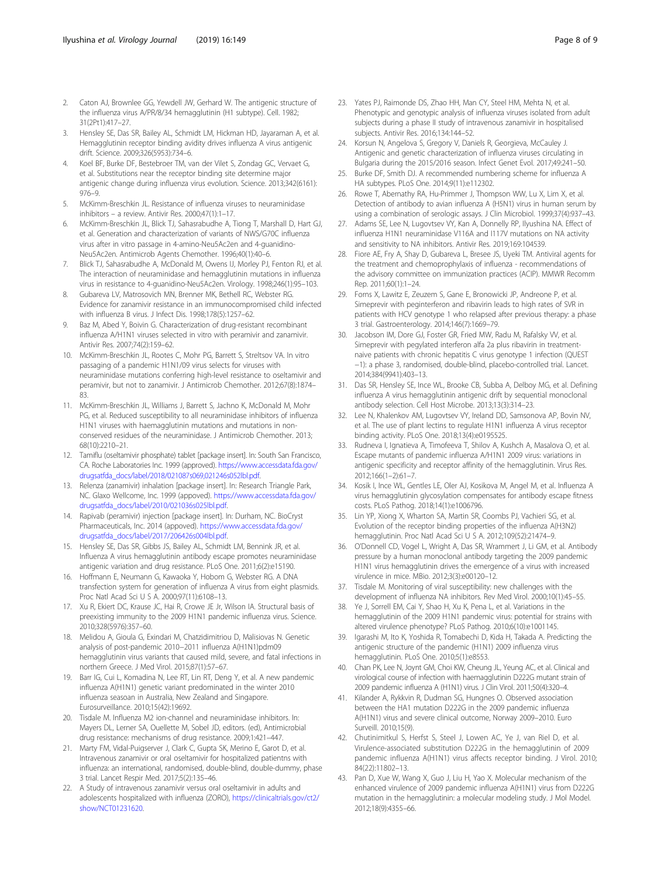- <span id="page-7-0"></span>2. Caton AJ, Brownlee GG, Yewdell JW, Gerhard W. The antigenic structure of the influenza virus A/PR/8/34 hemagglutinin (H1 subtype). Cell. 1982; 31(2Pt1):417–27.
- 3. Hensley SE, Das SR, Bailey AL, Schmidt LM, Hickman HD, Jayaraman A, et al. Hemagglutinin receptor binding avidity drives influenza A virus antigenic drift. Science. 2009;326(5953):734–6.
- 4. Koel BF, Burke DF, Bestebroer TM, van der Vilet S, Zondag GC, Vervaet G, et al. Substitutions near the receptor binding site determine major antigenic change during influenza virus evolution. Science. 2013;342(6161): 976–9.
- 5. McKimm-Breschkin JL. Resistance of influenza viruses to neuraminidase inhibitors – a review. Antivir Res. 2000;47(1):1–17.
- 6. McKimm-Breschkin JL, Blick TJ, Sahasrabudhe A, Tiong T, Marshall D, Hart GJ, et al. Generation and characterization of variants of NWS/G70C influenza virus after in vitro passage in 4-amino-Neu5Ac2en and 4-guanidino-Neu5Ac2en. Antimicrob Agents Chemother. 1996;40(1):40–6.
- 7. Blick TJ, Sahasrabudhe A, McDonald M, Owens IJ, Morley PJ, Fenton RJ, et al. The interaction of neuraminidase and hemagglutinin mutations in influenza virus in resistance to 4-guanidino-Neu5Ac2en. Virology. 1998;246(1):95–103.
- 8. Gubareva LV, Matrosovich MN, Brenner MK, Bethell RC, Webster RG. Evidence for zanamivir resistance in an immunocompromised child infected with influenza B virus. J Infect Dis. 1998;178(5):1257–62.
- Baz M, Abed Y, Boivin G. Characterization of drug-resistant recombinant influenza A/H1N1 viruses selected in vitro with peramivir and zanamivir. Antivir Res. 2007;74(2):159–62.
- 10. McKimm-Breschkin JL, Rootes C, Mohr PG, Barrett S, Streltsov VA. In vitro passaging of a pandemic H1N1/09 virus selects for viruses with neuraminidase mutations conferring high-level resistance to oseltamivir and peramivir, but not to zanamivir. J Antimicrob Chemother. 2012;67(8):1874– 83.
- 11. McKimm-Breschkin JL, Williams J, Barrett S, Jachno K, McDonald M, Mohr PG, et al. Reduced susceptibility to all neuraminidase inhibitors of influenza H1N1 viruses with haemagglutinin mutations and mutations in nonconserved residues of the neuraminidase. J Antimicrob Chemother. 2013; 68(10):2210–21.
- 12. Tamiflu (oseltamivir phosphate) tablet [package insert]. In: South San Francisco, CA. Roche Laboratories Inc. 1999 (approved). [https://www.accessdata.fda.gov/](https://www.accessdata.fda.gov/drugsatfda_docs/label/2018/021087s069,021246s052lbl.pdf) [drugsatfda\\_docs/label/2018/021087s069,021246s052lbl.pdf.](https://www.accessdata.fda.gov/drugsatfda_docs/label/2018/021087s069,021246s052lbl.pdf)
- 13. Relenza (zanamivir) inhalation [package insert]. In: Research Triangle Park, NC. Glaxo Wellcome, Inc. 1999 (appoved). [https://www.accessdata.fda.gov/](https://www.accessdata.fda.gov/drugsatfda_docs/label/2010/021036s025lbl.pdf) [drugsatfda\\_docs/label/2010/021036s025lbl.pdf](https://www.accessdata.fda.gov/drugsatfda_docs/label/2010/021036s025lbl.pdf).
- 14. Rapivab (peramivir) injection [package insert]. In: Durham, NC. BioCryst Pharmaceuticals, Inc. 2014 (appoved). [https://www.accessdata.fda.gov/](https://www.accessdata.fda.gov/drugsatfda_docs/label/2017/206426s004lbl.pdf) [drugsatfda\\_docs/label/2017/206426s004lbl.pdf](https://www.accessdata.fda.gov/drugsatfda_docs/label/2017/206426s004lbl.pdf).
- 15. Hensley SE, Das SR, Gibbs JS, Bailey AL, Schmidt LM, Bennink JR, et al. Influenza A virus hemagglutinin antibody escape promotes neuraminidase antigenic variation and drug resistance. PLoS One. 2011;6(2):e15190.
- 16. Hoffmann E, Neumann G, Kawaoka Y, Hobom G, Webster RG. A DNA transfection system for generation of influenza A virus from eight plasmids. Proc Natl Acad Sci U S A. 2000;97(11):6108–13.
- 17. Xu R, Ekiert DC, Krause JC, Hai R, Crowe JE Jr, Wilson IA. Structural basis of preexisting immunity to the 2009 H1N1 pandemic influenza virus. Science. 2010;328(5976):357–60.
- 18. Melidou A, Gioula G, Exindari M, Chatzidimitriou D, Malisiovas N. Genetic analysis of post-pandemic 2010−2011 influenza A(H1N1)pdm09 hemagglutinin virus variants that caused mild, severe, and fatal infections in northern Greece. J Med Virol. 2015;87(1):57–67.
- 19. Barr IG, Cui L, Komadina N, Lee RT, Lin RT, Deng Y, et al. A new pandemic influenza A(H1N1) genetic variant predominated in the winter 2010 influenza seasoan in Australia, New Zealand and Singapore. Eurosurveillance. 2010;15(42):19692.
- 20. Tisdale M. Influenza M2 ion-channel and neuraminidase inhibitors. In: Mayers DL, Lerner SA, Ouellette M, Sobel JD, editors. (ed), Antimicrobial drug resistance: mechanisms of drug resistance. 2009;1:421–447.
- 21. Marty FM, Vidal-Puigserver J, Clark C, Gupta SK, Merino E, Garot D, et al. Intravenous zanamivir or oral oseltamivir for hospitalized patientns with influenza: an international, randomised, double-blind, double-dummy, phase 3 trial. Lancet Respir Med. 2017;5(2):135–46.
- 22. A Study of intravenous zanamivir versus oral oseltamivir in adults and adolescents hospitalized with influenza (ZORO), [https://clinicaltrials.gov/ct2/](https://clinicaltrials.gov/ct2/show/NCT01231620) [show/NCT01231620.](https://clinicaltrials.gov/ct2/show/NCT01231620)
- 23. Yates PJ, Raimonde DS, Zhao HH, Man CY, Steel HM, Mehta N, et al. Phenotypic and genotypic analysis of influenza viruses isolated from adult subjects during a phase II study of intravenous zanamivir in hospitalised subjects. Antivir Res. 2016;134:144–52.
- 24. Korsun N, Angelova S, Gregory V, Daniels R, Georgieva, McCauley J. Antigenic and genetic characterization of influenza viruses circulating in Bulgaria during the 2015/2016 season. Infect Genet Evol. 2017;49:241–50.
- 25. Burke DF, Smith DJ. A recommended numbering scheme for influenza A HA subtypes. PLoS One. 2014;9(11):e112302.
- 26. Rowe T, Abernathy RA, Hu-Primmer J, Thompson WW, Lu X, Lim X, et al. Detection of antibody to avian influenza A (H5N1) virus in human serum by using a combination of serologic assays. J Clin Microbiol. 1999;37(4):937–43.
- 27. Adams SE, Lee N, Lugovtsev VY, Kan A, Donnelly RP, Ilyushina NA. Effect of influenza H1N1 neuraminidase V116A and I117V mutations on NA activity and sensitivity to NA inhibitors. Antivir Res. 2019;169:104539.
- 28. Fiore AE, Fry A, Shay D, Gubareva L, Bresee JS, Uyeki TM. Antiviral agents for the treatment and chemoprophylaxis of influenza - recommendations of the advisory committee on immunization practices (ACIP). MMWR Recomm Rep. 2011;60(1):1–24.
- 29. Forns X, Lawitz E, Zeuzem S, Gane E, Bronowicki JP, Andreone P, et al. Simeprevir with peginterferon and ribavirin leads to high rates of SVR in patients with HCV genotype 1 who relapsed after previous therapy: a phase 3 trial. Gastroenterology. 2014;146(7):1669–79.
- 30. Jacobson IM, Dore GJ, Foster GR, Fried MW, Radu M, Rafalsky VV, et al. Simeprevir with pegylated interferon alfa 2a plus ribavirin in treatmentnaive patients with chronic hepatitis C virus genotype 1 infection (QUEST −1): a phase 3, randomised, double-blind, placebo-controlled trial. Lancet. 2014;384(9941):403–13.
- 31. Das SR, Hensley SE, Ince WL, Brooke CB, Subba A, Delboy MG, et al. Defining influenza A virus hemagglutinin antigenic drift by sequential monoclonal antibody selection. Cell Host Microbe. 2013;13(3):314–23.
- 32. Lee N, Khalenkov AM, Lugovtsev VY, Ireland DD, Samsonova AP, Bovin NV, et al. The use of plant lectins to regulate H1N1 influenza A virus receptor binding activity. PLoS One. 2018;13(4):e0195525.
- 33. Rudneva I, Ignatieva A, Timofeeva T, Shilov A, Kushch A, Masalova O, et al. Escape mutants of pandemic influenza A/H1N1 2009 virus: variations in antigenic specificity and receptor affinity of the hemagglutinin. Virus Res. 2012;166(1–2):61–7.
- 34. Kosik I, Ince WL, Gentles LE, Oler AJ, Kosikova M, Angel M, et al. Influenza A virus hemagglutinin glycosylation compensates for antibody escape fitness costs. PLoS Pathog. 2018;14(1):e1006796.
- 35. Lin YP, Xiong X, Wharton SA, Martin SR, Coombs PJ, Vachieri SG, et al. Evolution of the receptor binding properties of the influenza A(H3N2) hemagglutinin. Proc Natl Acad Sci U S A. 2012;109(52):21474–9.
- 36. O'Donnell CD, Vogel L, Wright A, Das SR, Wrammert J, Li GM, et al. Antibody pressure by a human monoclonal antibody targeting the 2009 pandemic H1N1 virus hemagglutinin drives the emergence of a virus with increased virulence in mice. MBio. 2012;3(3):e00120–12.
- 37. Tisdale M. Monitoring of viral susceptibility: new challenges with the development of influenza NA inhibitors. Rev Med Virol. 2000;10(1):45–55.
- 38. Ye J, Sorrell EM, Cai Y, Shao H, Xu K, Pena L, et al. Variations in the hemagglutinin of the 2009 H1N1 pandemic virus: potential for strains with altered virulence phenotype? PLoS Pathog. 2010;6(10):e1001145.
- Igarashi M, Ito K, Yoshida R, Tomabechi D, Kida H, Takada A. Predicting the antigenic structure of the pandemic (H1N1) 2009 influenza virus hemagglutinin. PLoS One. 2010;5(1):e8553.
- 40. Chan PK, Lee N, Joynt GM, Choi KW, Cheung JL, Yeung AC, et al. Clinical and virological course of infection with haemagglutinin D222G mutant strain of 2009 pandemic influenza A (H1N1) virus. J Clin Virol. 2011;50(4):320–4.
- 41. Kilander A, Rykkvin R, Dudman SG, Hungnes O. Observed association between the HA1 mutation D222G in the 2009 pandemic influenza A(H1N1) virus and severe clinical outcome, Norway 2009–2010. Euro Surveill. 2010;15(9).
- 42. Chutinimitkul S, Herfst S, Steel J, Lowen AC, Ye J, van Riel D, et al. Virulence-associated substitution D222G in the hemagglutinin of 2009 pandemic influenza A(H1N1) virus affects receptor binding. J Virol. 2010; 84(22):11802–13.
- 43. Pan D, Xue W, Wang X, Guo J, Liu H, Yao X. Molecular mechanism of the enhanced virulence of 2009 pandemic influenza A(H1N1) virus from D222G mutation in the hemagglutinin: a molecular modeling study. J Mol Model. 2012;18(9):4355–66.